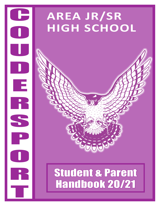# **AREA JR/SR HIGH SCHOOL**

C

O<br>O<br>O<br>O

U<br>U

D<br>D<br>D

E

**TE**<br>R

SS<sup>R</sup>

S<br>P<br>P

O<br>O<br>O

R

**T** 

# Student & Parent Handbook 20/21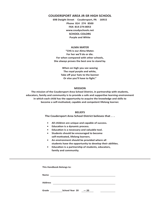#### **COUDERSPORT AREA JR-SR HIGH SCHOOL**

**698 Dwight Street . Coudersport, PA . 16915 Phone 814 . 274 . 8500 FAX: 814-274-8053 www.coudyschools.net SCHOOL COLORS Purple and White**

#### **ALMA MATER**

**"CHS is our Alma Mater. For her we'll do or die. For when compared with other schools, She always proves the best one to stand by.**

> **When on high you see waving The royal purple and white, Take off your hats to the banner Or else you'll have to fight."**

#### **MISSION**

**The mission of the Coudersport Area School District, in partnership with students, educators, family and community is to provide a safe and supportive learning environment in which each child has the opportunity to acquire the knowledge and skills to become a self-motivated, capable and competent lifelong learner.**

#### **BELIEFS**

#### **The Coudersport Area School District believes that . . .**

- **• All children are unique and capable of success.**
- **• Education is a dynamic process.**
- **• Education is a necessary and valuable tool.**
- **• Students should be encouraged to become self-motivated, lifelong learners.**
- **• An environment should be provided where all students have the opportunity to develop their abilities.**
- **• Education is a partnership of students, educators, family and community.**

| This Handbook Belongs to: |                       |       |  |  |  |  |  |
|---------------------------|-----------------------|-------|--|--|--|--|--|
| <b>Name</b>               |                       |       |  |  |  |  |  |
| <b>Address</b>            |                       |       |  |  |  |  |  |
| Grade                     | <b>School Year 20</b> | $-20$ |  |  |  |  |  |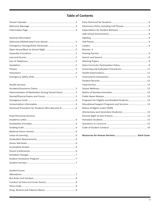### **Table of Contents**

#### General Information

#### **Health Services**

| Administration of Medication During School Hours5 |  |
|---------------------------------------------------|--|
|                                                   |  |
|                                                   |  |
|                                                   |  |
|                                                   |  |

#### **Pupil Personnel Services**

#### Student Issues

| Bicycles 9                                     |  |
|------------------------------------------------|--|
|                                                |  |
|                                                |  |
|                                                |  |
|                                                |  |
|                                                |  |
|                                                |  |
|                                                |  |
|                                                |  |
|                                                |  |
|                                                |  |
|                                                |  |
|                                                |  |
| Programs for Eligible and Disabled Students 13 |  |
| Educational Support Programs and Services 13   |  |
| Notice of Rights under FERPA                   |  |
|                                                |  |
|                                                |  |
|                                                |  |
|                                                |  |
|                                                |  |
|                                                |  |

Resources for Human Services................................... Back Cover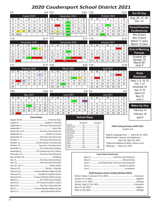# **2020 Coudersport School District 2021**

| T:6            |                |          |               |                    |                |                       | S:4 T:21                                  |                |                |                  |    |    | S:20               | T:22      |          |    |                                |                |                | S:21                                      | Act 80 Day                                         |
|----------------|----------------|----------|---------------|--------------------|----------------|-----------------------|-------------------------------------------|----------------|----------------|------------------|----|----|--------------------|-----------|----------|----|--------------------------------|----------------|----------------|-------------------------------------------|----------------------------------------------------|
|                |                |          | August 2020   |                    |                |                       |                                           |                |                | September 2020   |    |    |                    |           |          |    | October 2020                   |                |                |                                           | Aug, 26, 27, 28                                    |
| S              | M              | Т        | W             | Т                  | F              | S                     | S                                         | M              | т              | W                | т  | F  | S                  | S         | M        | Т  | W                              | т              | F              | S                                         | Oct. 12                                            |
| 2              | 3              | 4        | 5             | 6                  | $\overline{7}$ | 8                     |                                           |                | 1              | $\overline{2}$   | 3  | 4  | 5                  |           |          |    |                                | $\mathbf{1}$   | 2              | 3                                         |                                                    |
| 9              | 10             | 11       | 12            | 13                 | 14             | 15                    | 6                                         |                | 8              | 9                | 10 | 11 | 12                 | 4         | 5        | 6  | -7.                            | 8              | 9              | 10                                        | <b>Parent/Teacher</b>                              |
| 16             | 17             | 18       | 19            | 20                 | 21             | 22                    | 13                                        | 14             | 15             | 16               | 17 | 18 | 19                 | 11        | 12       | 13 | 14                             | 15             | 16             | 17                                        |                                                    |
| 23             | 24             | 25       | 26            | 27                 | 28             | 29                    | 20                                        | 21             | 22             | 23               | 24 | 25 | 26                 | 18        | 19       | 20 | 21                             | 22             | 23             | 24                                        | <b>Conferences</b>                                 |
| 30             | 31             |          |               |                    |                |                       | 27                                        | 28             | 29             | 30               |    |    |                    | 25        | 26       | 27 | 28                             | 29             | 30             | 31                                        | Nov. $5$ (pm)                                      |
| T:18           |                |          |               |                    |                |                       | S:17 T:17                                 |                |                |                  |    |    | S:17 T:19          |           |          |    |                                |                |                | S:19                                      | Nov. 6 (am)                                        |
|                |                |          | November 2020 |                    |                |                       |                                           |                |                | December 2020    |    |    |                    |           |          |    | January 2021                   |                |                |                                           | March 11 (pm)                                      |
| S              | M              | Т        | W             | Τ                  | F              | S                     | S                                         | M              | т              | W                | Τ  | F  | S                  | S         | M        | т  | W                              | т              | F              | S                                         | March 12 (am)                                      |
| $\mathbf{1}$   | $\overline{2}$ | 3        | 4             | $5^{\circ}$        | 6              | $\overline{7}$        |                                           |                | $\mathbf{1}$   | $\overline{2}$   | 3  | 4  | 5                  |           |          |    |                                |                |                | $\overline{2}$                            |                                                    |
| 8              | 9              | 10       | 11            | 12                 | 13             | 14                    | 6                                         | $\overline{7}$ | 8              | -9               | 10 | 11 | 12                 | 3         | 4        | 5  | 6                              | $\overline{7}$ | 8              | 9                                         | <b>End of Marking</b>                              |
| 15             | 16             | 17       | 18            | 19                 | 20             | 21                    | 13                                        | 14             | 15             | 16               | 17 | 18 | 19                 | 10        | 11       | 12 | 13                             | 14             | 15             | 16                                        | <b>Periods</b>                                     |
| 22             | 23             | 24       | 25            | 26                 | 27             | 28                    | 20                                        | 21             | 22             | 23.              | 24 | 25 | 26                 | 17        | 18       | 19 | 20                             | 21             | 22             | 23                                        | October 29                                         |
| 29             | 30             |          |               |                    |                |                       | 27                                        | 28             | 2999           | 30               | 31 |    |                    | 24/31     | 25       | 26 | 27                             | 28             | 29             | 30                                        | January 15                                         |
|                |                |          |               |                    |                |                       |                                           |                |                |                  |    |    |                    |           |          |    |                                |                |                |                                           | March 26                                           |
| T:17           |                |          |               |                    |                | S:17                  | T:23                                      |                |                |                  |    |    | S:22 T:19          |           |          |    |                                |                |                | S:19                                      | June 3                                             |
|                |                |          | February 2021 |                    |                |                       |                                           |                |                | March 2021       |    |    |                    |           |          |    | April 2021                     |                |                |                                           |                                                    |
| S              | M              | Т        | W             | Т                  | F              | S                     | S                                         | M              | Τ              | W                | Т  | F  | S                  | S         | M        | т  | W                              | т              | F              | S                                         | <b>Early</b>                                       |
|                | $\mathbf{1}$   | 2        | 3             | $\overline{4}$     | 5              | 6                     |                                           | $\mathbf{1}$   | $\overline{2}$ | 3                | 4  | 5  | 6                  |           |          |    |                                | $\mathbf{1}$   |                | 3                                         | <b>Dismissal</b>                                   |
| 7              | 8              | 9        | 10            | 11                 | 12             | 13                    | $\overline{7}$                            | 8              | 9              | 10               | 11 | 12 | 13                 | 4         | 5        | 6  | 7                              | 8              | 9              | 10                                        |                                                    |
| 14             | 15             | 16       | 17            | 18                 | 19             | 20                    | 14                                        | 15             | 16             | 17               | 18 | 19 | 20                 | 11        | 12       | 13 | 14                             | 15             | 16             | 17                                        | Sept. 2, 9, 16, 23                                 |
| 21             | 22             | 23       | 24            | 25                 | 26             | 27                    | 21                                        | 22             | 23             | 24               | 25 | 26 | 27                 | 18        | 19       | 20 | 21                             | 22             | 23             | 24                                        | Oct. 7, 27                                         |
| 28             |                |          |               |                    |                |                       | 28                                        | 29             | 30             | 31               |    |    |                    | 25        | 26       | 27 | 28                             | 29             | 30             |                                           | November 25                                        |
| T:20           |                |          |               |                    |                | S:20                  | T:0                                       |                |                |                  |    |    |                    | $S:0$ T:4 |          |    |                                |                |                | S:3                                       | Dec. 9, 23                                         |
|                |                |          | May 2021      |                    |                |                       |                                           |                |                | <b>June 2021</b> |    |    |                    |           |          |    | <b>July 2021</b>               |                |                |                                           | March 23                                           |
| S              | M              | Τ        | W             | т                  | F              | S                     | S                                         | M              | Τ              | W                | Τ  | F  | S                  | S         | M        | Τ  | W                              | Τ              | F              | S                                         | May 12                                             |
|                |                |          |               |                    |                | $\mathbf{1}$          |                                           |                | $\mathbf{1}$   | 2                | 3  | 4  | 5                  |           |          |    |                                | 1              | $\overline{2}$ | 3                                         | June 3                                             |
| $\overline{2}$ | 3              | 4        | 5             | 6                  | $\overline{7}$ | 8                     | 6                                         | $\overline{7}$ | 8              | 9                | 10 | 11 | 12                 | 4         | 5        | 6  | $\overline{7}$                 | 8              | 9              | 10                                        |                                                    |
| 9              | 10             | 11       | 12            | 13                 | 14             | 15                    | 13                                        | 14             | 15             | 16               | 17 | 18 | 19                 | 11        | 12       | 13 | 14                             | 15             | 16             | 17                                        | <b>Make-Up Day</b>                                 |
| 16<br>23       | 17<br>24       | 18<br>25 | 19<br>26      | 20<br>27           | 21<br>28       | $\overline{22}$<br>29 | 20                                        | 21             | 22             | 23               | 24 | 25 | 26                 | 18        | 19       | 20 | 21                             | 22             | 23             | 24                                        | February 14                                        |
| 30             | 31             |          |               |                    |                |                       | 27                                        | 28             | 29             | 30               |    |    |                    | 25        | 26       | 27 | 28                             | 29             | 30             | 31                                        | February 18                                        |
|                |                |          |               | <b>Event Dates</b> |                |                       |                                           |                |                |                  |    |    |                    |           |          |    |                                |                |                |                                           |                                                    |
|                |                |          |               |                    |                |                       |                                           |                |                |                  |    |    | <b>School Days</b> |           |          |    |                                |                |                |                                           | April 9                                            |
|                |                |          |               |                    |                |                       |                                           |                |                |                  |    |    | Students           |           | Teachers |    |                                |                |                |                                           |                                                    |
|                |                |          |               |                    |                |                       |                                           |                |                |                  |    |    |                    |           |          |    |                                |                |                |                                           | PSSA Testing Window 2020-2021                      |
|                |                |          |               |                    |                |                       |                                           |                |                |                  |    |    |                    |           |          |    |                                |                |                | Grades 3-8                                |                                                    |
|                |                |          |               |                    |                |                       | September 9, 16  Two Hour Early Dismissal |                |                |                  |    |    |                    |           |          |    |                                |                |                |                                           |                                                    |
|                |                |          |               |                    |                |                       |                                           |                |                |                  |    |    |                    |           |          |    |                                |                |                |                                           | English Language Arts ----- April 19-23. 2021      |
|                |                |          |               |                    |                |                       |                                           |                |                |                  |    |    |                    |           |          |    |                                |                |                |                                           | Mathematics, Science and Makeups----               |
|                |                |          |               |                    |                |                       |                                           |                |                |                  |    |    |                    |           |          |    |                                |                |                |                                           | April 26- April 30, 2021                           |
|                |                |          |               |                    |                |                       | October 12 Act 80 Teacher In-Service Day  |                |                |                  |    |    |                    |           |          |    |                                |                |                |                                           | *Optional Additional Math, Science and             |
|                |                |          |               |                    |                |                       |                                           |                |                |                  |    |    |                    |           |          |    |                                |                |                | Makeups ---- May 3-4, 2021                |                                                    |
|                |                |          |               |                    |                |                       |                                           |                |                |                  |    |    |                    |           |          |    |                                |                |                |                                           |                                                    |
|                |                |          |               |                    |                |                       | November 25 Two Hour Early Dismissal      |                |                |                  |    |    |                    |           |          |    | <b>Event Dates (Continued)</b> |                |                |                                           |                                                    |
|                |                |          |               |                    |                |                       |                                           |                |                |                  |    |    |                    |           |          |    |                                |                |                |                                           |                                                    |
|                |                |          |               |                    |                |                       |                                           |                |                |                  |    |    |                    |           |          |    |                                |                |                |                                           |                                                    |
|                |                |          |               |                    |                |                       |                                           |                |                |                  |    |    |                    |           |          |    |                                |                |                |                                           | June 3  Last Student Day--Two Hour Early Dismissal |
|                |                |          |               |                    |                |                       |                                           |                |                |                  |    |    |                    |           |          |    |                                |                |                |                                           |                                                    |
|                |                |          |               |                    |                |                       |                                           |                |                |                  |    |    |                    |           |          |    |                                |                |                |                                           |                                                    |
|                |                |          |               |                    |                |                       | February 12  1 Severe Weather Make-Up Day |                |                |                  |    |    |                    |           |          |    |                                |                |                |                                           |                                                    |
|                |                |          |               |                    |                |                       | February 15  President's Day/No School    |                |                |                  |    |    |                    |           |          |    |                                |                |                | Draft Keystone Exams Testing Window 20/21 |                                                    |
|                |                |          |               |                    |                |                       | February 16  2 Severe Weather Make-Up Day |                |                |                  |    |    |                    |           |          |    |                                |                |                |                                           |                                                    |
|                |                |          |               |                    |                |                       |                                           |                |                |                  |    |    |                    |           |          |    |                                |                |                |                                           |                                                    |
|                |                |          |               |                    |                |                       |                                           |                |                |                  |    |    |                    |           |          |    |                                |                |                |                                           |                                                    |
|                |                |          |               |                    |                |                       |                                           |                |                |                  |    |    |                    |           |          |    |                                |                |                |                                           |                                                    |
|                |                |          |               |                    |                |                       | April 1 3 Severe Weather Make-Up Day      |                |                |                  |    |    |                    |           |          |    |                                |                |                |                                           |                                                    |
|                |                |          |               |                    |                |                       |                                           |                |                |                  |    |    |                    |           |          |    |                                |                |                |                                           |                                                    |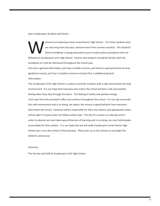Dear Coudersport Student and Parent:

elcome to Coudersport Area Junior/Senior High School . For those students who<br>are returning from last year, welcome back from summer vacation. The Student/<br>Parent handbook is being presented to you to help outline procedur are returning from last year, welcome back from summer vacation. The Student/ Parent handbook is being presented to you to help outline procedures that are followed at Coudersport Jr/Sr High School. Parents and students should be familiar with the handbook as it will be referenced throughout the school year.

Part one is general information, part two is health services, part three is pupil personnel services (guidance issues), part four is student concerns and part five is additional general information.

The Coudersport Jr/Sr High School is a place to provide students with a safe and positive learning environment. It is our hope that everyone who enters the school will feel a safe and positive feeling when they step through the doors. This feeling of safety and positive energy must start from the principal's office and continue throughout the school. It is our job to provide this safe environment and in so doing, we expect the utmost in good behavior from everyone who enters the school. Everyone will be responsible for their own actions and appropriate action will be taken if anyone does not follow school rules. The job of a school is to educate and in order to educate we must take away all barriers of learning and in so doing, we must hold people accountable for their actions. It is our hope that we will make Coudersport Junior Senior High School into a very fine school in Pennsylvania. Please join us on this mission as we begin the 2020/21 school year.

Sincerely,

The Faculty and Staff of Coudersport Jr/Sr High School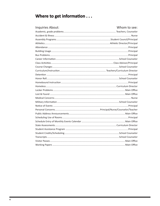# Where to get information . . .

| Inquiries About: | Whom to see: |
|------------------|--------------|
|                  |              |
|                  |              |
|                  |              |
|                  |              |
|                  |              |
|                  |              |
|                  |              |
|                  |              |
|                  |              |
|                  |              |
|                  |              |
|                  |              |
|                  |              |
|                  |              |
|                  |              |
|                  |              |
|                  |              |
|                  |              |
|                  |              |
|                  |              |
|                  |              |
|                  |              |
|                  |              |
|                  |              |
|                  |              |
|                  |              |
|                  |              |
|                  |              |
|                  |              |
|                  |              |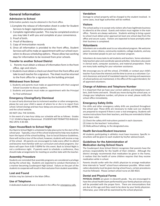### **General Information**

#### **Admission to School**

(Information packets may be obtained in the front office.

- 1.Complete the release of information sheet in order for Student Services to begin registration procedures.
- 2. Complete registration packet. This may be completed onsite or you may take it with you and complete at your convenience.
- 3. Proof of birth.
- 4. Proof of Residency
- 5. Copy of immunization records
- 6. Once all information is provided to the front office, Student Services will call to make an appointment with our school counselors to discuss scheduling options. Please allow two working days for information to be received from prior schools.

#### **Transfer to another School District**

- 1. Parents must obtain a release of information form in the front office, sign and return.
- 2. Students must obtain a check out sheet from the front office and take to each teacher for a signature. The sheet must be returned to the front office for a signature by the building principal.

#### **Withdrawal from School**

- 1. Students and parents must make an appointment with their assigned School Counselor to discuss options.
- 2. Students and parents must make an appointment with the Principal for final withdrawal

#### **Emergency Closing/Early Dismissal**

In case of early dismissal due to inclement weather or other emergencies, please be sure your child is aware of where he or she is to report from school. School closings and two-hour delays are announced on PBS, WFRM, and the school website.

DO NOT CALL THE SCHOOL.

In the event of a two-hour delay our schedule will be as follows: Grades 7-12 10 AM to Regular Dismmissal. STUDENTS NOT PERMITTED IN BUILD-ING UNTIL 9:30 AM.

#### **Open House/Back to School Night**

Our Back to School Night is scheduled to take place prior to the start of the school year. Typically, a tour of the school id planned to help new students learn the layout of the school building. Due to Social Distance Guidelines, there will not be a tour of the school, however, students will receive a map of the school. All parents are encouraged to make every effort to attend and become more familiar with our curriculum and school programs. Our doors will open from 6:00-7:00PM for this event. Back to School Night is not a conference night. If parents want to schedule a conference, they should make arrangements for meeting on another date with the teacher.

#### **Assembly Procedure**

Students are reminded that assembly programs are considered a privilege during the school day. Students are expected to conduct themselves in a manner becoming Coudersport High School. Failure on the part of the students to cooperate will result in their exclusion from student assemblies.

#### **Lost and Found**

Articles may be claimed in the Main Office.

#### **Use of Telephone**

A dedicated student phone is located in the office for emergency calls.

#### **Vandalism**

Damage to school property will be charged to the student involved. In some cases, local legal authorities will be notified.

#### **Visitors**

The school policy is to accept only visitors who have legitimate business to attend to at the school. Guests and visitors must register in the main office. Parents are always welcome. Students wishing to bring a guest to school must obtain prior approval (at least one school day) from the office and secure a pass. Visitors are expected to leave promptly when their business is completed.

#### **Volunteers**

Volunteers are a valuable asset to our educational program. We welcome parents, senior citizens, community residents, college students, and any other interested people to join our volunteer program.

Volunteers do many tasks to aid students and teachers. Some volunteers help teachers plan and coordinate special activities. Volunteers also assist in clerical work, computer assistance, and material preparation. There are many tasks waiting for your volunteer assistance.

We encourage you to call the school, 274-8500, or contact your child's teacher if you have the interest and the time to serve as a volunteer. Current clearances and proof of mandated reporter training and awareness of school policies are maintained, in the office of the superintendent, for all approved volunteers.

#### **Change of Address and Telephone Number**

It is important that we have your correct address and telephone numbers, both home and work. Should you move during the school year, or change your telephone number, cell phone or email, please notify the school office immediately.

#### **Emergency Safety Drills**

Fire drills and other emergency safety drills are practiced throughout the school year. These drills are necessary to make sure our students are prepared to respond if there is ever a real emergency. Students will receive instructions from their teachers, and they are reminded to follow these basic rules:

- (1) Check the safety drill instructions posted in each classroom.
- (2) Listen to the teachers' instructions.
- (3) Walk,without talking, to the designated area.

#### **Health Services/Student Insurance**

All students participating in athletics must have insurance. Specific instructions will be given to each student by his/her advisor/coach.

#### **Guidelines for the Administration of Medication during School Hours**

The Coudersport Area School District recognizes that parents have the primary responsibility for the health of their children. Although the district strongly recommends that medication be given in the home, it realizes that the health of some children requires that they receive medication while in school.

Parents should confer with the child's physician to arrange medication time intervals to "avoid" school hours whenever possible. When medication absolutely must be given during school hours, certain procedures must be followed. Please contact school nurse at 260-4023.

#### **Dental and Physical Forms**

**PHYSICAL EXAMS** are given in eleventh grade. You are encouraged to have the school health exam performed by your family physician and you will be provided with the proper form. There are immunizations that are due at this age and they need to be done by your family physician. Otherwise, your child will be examined by the school physician.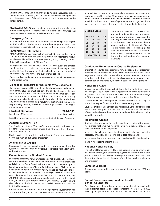**DENTAL EXAMS** are given in seventh grade. You are encouraged to have the dental exam done by your family dentist and you will be provided with the proper form. Otherwise, your child will be examined by the school dentist.

**MEDICAL and DENTAL** forms are to be returned to the school as soon as they are completed. If a form is not returned then it is assumed that the exam was not done and it will be done in school.

#### **Emergency Cards**

In order for the nurse to maintain communications with parents regarding their children, students must return the emergency card to their homeroom teachers to be filed in the nurses office for future reference.

#### **Immunization Information**

Pennsylvania State Law requires that every child, prior to admission to school for the first time, has been fully immunized against the following diseases: Hepatitis B, Diptheria, Tetanus, Polio, Measles, Mumps, Rubella (German Measles), Chicken Pox.

Pennsylvania State Law will only exempt: (A) In the event of a physical condition of said child, that such immunization would endanger life or health, (B) Parent or guardian of said child adheres to a religious belief whose teachings are opposed to such immunizations.

Please send any update of immunizations that your child has received to the school nurse.

#### **Dismissal Procedure for Students Who Become Ill**

If a student becomes ill in school, he/she should report to the nurse/ main office. Students must not leave the building because of illness without authorization. Only the school nurse or an administrator can approve a student to leave school due to an illlness. If there is any change in a child's health which affects his/her ability to take Phys. Ed., or if he/she is placed on a regular medication, it is the parent's responsibility to notify the school. Please request forms as needed if either situation exists.

| <b>Student Services</b>                        | 274-8553 |
|------------------------------------------------|----------|
|                                                |          |
| Mrs. Sheri MatzingerStudent Services Secretary |          |

#### **Academic Letter PTSA**

The Coudersport Parent/Teacher/Student Association will award an academic letter to students in grades 9-12 who meet the criteria established by the PTSA.

Students will receive one letter during their 9-12 years and bars designating the years of distinction thereafter.

#### **Availability of Grades**

Coudersport Jr-Sr High School operates on a four nine-week grading system. At the end of each nine weeks, a report card will be sent home with each student.

#### **Online Access for Student Grades**

In order to access the new parent grade portal, please go to the Coudersport Area School District or Coudersport Jr/Sr High School main page and click on the Grade Portals Tab and then click on the parent portal login link to be taken to a "Parent Portal Login" page. Click on online registration to begin the process. You will need to have your child's student identification number (lunch number) to link your account with your child's name. If you have more than one child in our school, you will only need one identification number to get the process started and then you will add your other children to your account. Once you have given all the required information, you can click the create account tab to finish the process.

You will receive an automatic email message from the system that will let you know that your account has been sent to the school district for approval. We do have to go in manually to approve your account for safety purposes. Please allow 24 hours during regular business hours for your account to be approved. You will then receive another automatic email that will ask for you to verify your email and to sign in with the username and password that you created during the initial set-up.

| <b>Grading Scale</b>  |     |    |     |  |  |  |  |  |
|-----------------------|-----|----|-----|--|--|--|--|--|
| 95 - 100              |     | A  | 4.0 |  |  |  |  |  |
| 90 -                  | 94  | B+ | 3.5 |  |  |  |  |  |
| 85 -                  | 89  | в  | 3.0 |  |  |  |  |  |
| $80 -$                | -84 | C+ | 2.5 |  |  |  |  |  |
| 75 -                  | 79  | C  | 2.0 |  |  |  |  |  |
| 70 -                  | 74  | D  | 1.0 |  |  |  |  |  |
| Under 70%<br>0.0<br>F |     |    |     |  |  |  |  |  |
|                       |     |    |     |  |  |  |  |  |

\*Grades are available as a service to parents and students. However ,the grades are real time and changes may occur. The official grade for the nine weeks is taken from the report card and this will be the grade reported on final transcripts. Teachers are responsible for updating grades, and the administration realizes teachers need time to post grades in order to allow for grading and reading of assignments and tests.

#### **Graduation Requirements/Course Registration**

Information regarding requirements for graduation, class placement or course registration can be found in the Coudersport Area Jr/Sr High Registration Guide, which is available in Student Services. Questions regarding graduation requirements, class placement or course registration can be answered by the school counselor or the principal.

#### **Honor Roll Rules**

In order to make the Distinguished Honor Roll, a student must attain an average of 95% or above in all subjects with no grade below 80% in any subject. To make the Honor Roll, a student must attain an average of 90% or above in all subjects with no grade below 80%.

Courses which use a letter grade or satisfactory must be passing. No one will be eligible for Honor Roll with incomplete grades.

 Students enrolled in honors courses will receive .05% additional added to the nine weeks grade provided that the student earned a minimum of 80% in the class on their own prior to the additional points being added to the grade.

#### **Incomplete Grades**

Students who receive an incomplete on their report card for a nineweeks grade will have a two week maximum from the date they receive their report card to make up work.

In the event of a long absence, the student and teacher shall make the necessary provisions to complete the missed assignments.

In the event that the incomplete is not handled within the time allot ment, it will become a failing mark.

#### **National Honor Society**

The National Honor Society (NHS) is the nation's premier organization established to recognize outstanding high school students. More than just an honor roll. NHS serves to recognize those students who have demonstrated excellence in the areas of scholrship, service, leadership, and character.

#### **Lamp of Learning**

Recognizing seniors with a four-year cumulative average of 95% and above.

#### **Parent Conferences/Appointments with School Counselors**

Parents are more than welcome to make appointments to speak with their student(s) teachers or school counselors. Please call 274-8553 to set up an appointment to meet with teachers, counselors or the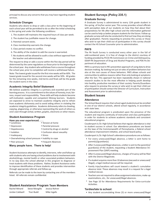principal to discuss any concerns that you may have regarding student services.

#### **Schedule Changes**

Students who desire to drop or add a class prior to the beginning of each school year will be permitted to do so after the initial scheduling in the spring and under the following conditions:

- 1. The student still maintains the required hours of class per week.
- 2. The student has justifiable reason for change.
- 3. Parental consent exists.
- 4. Class membership warrants the change.
- 5. Class period creates no conflict.
- 6. The ability of the student to add the course is warranted.
- 7. No students will be allowed to audit a class without approval from the teacher and administration.

The request to drop or add a course within the five day period will be determined by the same regulations as those prior to the beginning of the school year. Any student who withdraws from a course throughout the school year, prior to completion will receive a withdrawal failure.

Note: The lowest grade issued for the first nine weeks will be 60%. The lowest grade issued for the second nine weeks will be 50%. All grades for the remaining nine weeks, mid-terms and finals will be the grade the student earns in the class.

#### **Academic Integrity Belief Statement**

We believe academic integrity is a primary and essential part of the learning process. It is a commitment to the values of honesty, trust, fairness, respect and responsibility. These skills will help students become self-motivated, capable and competent lifelong learners. Students are expected to strive to maintain academic integrity and to refrain from academic dishonesty and to avoid aiding others in violating the academic integrity guidelines. Academic dishonesty refers to cheating, copying, plagiarizing, or otherwise representing the work of others as one's own through verbal, written, graphic, electronic or other means.

#### **Student Assistance Program**

## **Have you ever experienced...**<br>• Loneliness

- 
- Tension at home • Depression **• Parental pressure** 
	-
- Hopelessness  **Control by drugs or alcohol**
- Isolation **Confusion about sexuality** Confusion about sexuality
- Inadequacy  **Stress**
- Overwhelming school pressure Inability to cope
- Peer pressure Peer pressure Peer pressure

#### **Many people have. There is help!**

Student Assistance attempts to identify, intervene, refer and follow-up with students who are having school problems due to involvement with alcohol/drugs, mental health or other associated problem behaviors. In no way does the school attempt in this program to diagnose or treat students with these problems. Rather, Student Assistance seeks to improve identification of these students and provides intervention through appropriate referrals and follow-up.

Referrals can be made to the team by contacting one of the members listed. All referrals remain confidential.

#### **Student Assistance Program Team Members**

| Rachel Minard   | Steve Mongillo | Jessica Rohrer |
|-----------------|----------------|----------------|
| Jordan Caldwell | Traci Budd     | Mike Ingalls   |

#### **Student Surveys (Policy 235.1)**

#### **Graduate Survey**

A Graduate Survey is administered to every 12th grade student in the spring of his/her senior year. This survey provides school officials with perception data of our students on how they feel about their preparedness for life after high school and the information gathered can be used to help us better prepare students for the future. Follow up graduate surveys will also be conducted to find out how they are doing after graduation. Parents requesting to preview this survey or those who wish to opt their child out of participation in this survey should contact the HS School Counselor prior to administration.

#### **PAYS**

The PA Youth Survey is conducted every other year in the fall of odd-numbered years. It is free of charge to the district courtesy of funding provided by PCCD-PA Commission on Crime and Delinquency, DDAP-PA Department of Drug and Alcohol Programs, and PDE-Pa Department of education.

PAYS is a primary tool in PA's prevention approach of using data to drive decision making. By looking not just at rates of problem behaviors but also at the root causes of those behaviors. PAYS allows schools and communities to address reasons rather than only looking at symptoms after the fact. This approach has been repeatedly shown in national research studies to be the most effective in helping youth develop into healthy, productive members of their society. Parents/Guardians who request to preview the survey or who wish to opt their child out of participation should contact the Director of Curriculum, Instruction and Assessment prior to adminstration.

#### **Student Issues**

#### **Attendance**

The School Board requires that school-aged studentsmust be enrolled in one of our district schools, attend school regularly, in accordance with state laws.

The educational program is predicated upon the presence of the student and requires continuity of instruction and class participation in order for students to achieve academic standards and consistent educational progress.

Coudersport Jr./Sr. High School believes that regular attendance is vital to student success in school. Our attendance procedures are based on the laws of the Commonwealth of Pennsylvania, a federal school attendance improvement initiative, and school board policy.

Coudersport Jr./Sr. High School's attendance procedures are as follows:

- For every unexcused/illegal absence, a letter is sent home to parent(s)/guardian(s).
- After 3 unexcused/illegal absences, a letter is sent to the parent(s)/ guardian(s) of the student, requesting a Student Attendance Improvement Plan (SAIP) meeting.
- After 6 unexcused/illegal absences, charges of truancy will be filed with the District Magistrate.
- If a student acquires more than 10 absences (excused or unexcused/ illegal), a legal medical excuse will be required.
- Family trips/vacations will count toward a student's cumulative absence total. These absences may result in a request for a legal medical excuse.
- Teachers are not required to allow assignment extensions, make-up examinations, etc., for unexcused/illegal absences.
- \* See Page 10 for Attendance Requirements for Extra-curricular Activities.

#### **Tardies/late to school:**

• Any student accumulating three (3) or more unexcused/illegal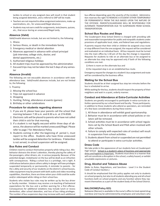tardies to school or any assigned class will result in that student being assigned detention, and a referral to SAP will be made.

- Teachers are not required to allow assignment extensions, make-up examinations, etc., for unexcused/illegal absences.
- Students may not earn credit for assignments, tests/exams, quizzes, etc., that occur during an unexcused/illegal tardy.

#### **Absence (Valid)**

Valid/invalid absences include, but are not limited to, the following:

- 1. Illness
- 2. Serious illness, or death in the immediate family
- 3. Emergency medical or dental attention
- 4. Absences approved in advance with school principal (job interview, college visits, doctor, and dental appointments, etc.)
- 5. Authorized religious holidays
- 6. All student trips must be approved by the administration
- 7. Excused trips may not be taken the last 5 days of any semester

#### **Absence (Invalid)**

The following are not excusable absences in accordance with state attendance laws. Valid/invalid absences include, but are not limited to, the following:

- 1. Truancy
- 2. Missing the school bus
- 3. Trips not approved in advance
- 4. Shopping
- 5. Hunting, fishing, attendance at events (games)
- 6. Birthday or other celebrations

#### **Procedure for students regarding absence**

- 1. If you are ill, please have your parents call the school that morning between 7:30 a.m. and 8:30 a.m. at 274-8500.
- 2. Electronic calls will be placed to parents who have not called their child in sick for that morning.
- 3. If a student is not legally excused within three days of absence, the absence will be marked unexcused/illegal. Please refer to page 7 for Attendance Policy.
- 4. Students coming in after the beginning of period 1, must report to the office. Students who have three unexcused tardies will be assigned detention for tardiness. If detention is not served, in-school suspension will be assigned.

#### **Bus Rules and Conduct**

Children need to conduct themselves properly while riding a bus. Misbehavior distracts the driver's attention, thereby placing the safety of the passengers, other drivers, etc. in serious jeopardy. Because of the potential danger, misbehavior on the bus will be dealt as an infraction with consequences. Riding a school bus is a privilege, not a right. A child whose behavior places others safety in danger will have privileges suspended temporarily or permanently. A reminder to parents - for the s afety and security of our students on the district's school busses, video equipment may be present with both audio and video recording capabilities, therefore, there are times when your child could be audio and/or videotaped while riding on their school bus.

Students who violate bus rules may be written up by the bus driver or faculty member. Violators may receive a re-teaching of behavioral expectations for the bus and a written warning for a first offense. Consequences for additional violations may include lunch or recess dentention, after school detention, and loss of bus riding privileges. The number of bus suspension days may increase with each additional bus offense depending upon the severity of the incident. Administration reserves the right TO REMOVE A STUDENT EITHER TEMPORARILY OR PERMANENTLY FROM THE BUS BASED UPON THE NATURE OF THE OFFENSE. PARENTS/GUARDIANS WILL BE RESPONSIBLE FOR ALTERNATE TRANSPORTATION DUE TO SUSPENSION FROM SCHOOL TRANSPORTATION.

#### **School Bus Routes and Stops**

The Coudersport Area School District is charged with providing safe and reasonable transportation for public and nonpublic students under provisions of applicable local, state, and federal laws and regulations.

If parents request that their child or children be assigned a bus route or stop different from the one assigned, the request will be considered and evaluated on an individual basis. All bus requests must be turned into the main office by 1:30 pm of the day the change is requested. Requests for students to ride on an alternate bus or be assigned to an alternate bus stop may be approved only if both of the following conditions are met:

- 1) there is room on the alternate bus and
- 2) the requested stop is on an established bus route.

Emergency request for changes to a student's bus assignment and route will be considered by the business office.

#### **Waiting for the School Bus**

Students should be at their assigned bus stop ten minutes before the bus is scheduled to arrive.

While waiting for the bus, students should respect the property of their neighbors and wait in a quiet, orderly manner.

#### **Conduct and Attendance at Extra-Curricular Activities**

Students are greatly encouraged to participate in extra-curricular activities sponsored by our school board and faculty. Those participants, in addition to those students who attend as spectators, are reminded of a few basic considerations during these events:

- 1. All those in attendance will exhibit good sportsmanship.
- 2. Behavior must be in accordance with school policies or violators will be removed.
- 3. School activities must be in accordance with school regulations set by the School Board and PIAA when involved with other schools.
- 4. Failure to comply with expected rules of conduct will result in suspension from school activities.
- 5. Students absent from school or suspended are not permitted to attend or participate in extra curricular activities.

#### **Dress Code**

We take pride in the appearance of our students here at Coudersport High School. School is a student's place of business and appropriate dress and hygiene is important. Students must dress in a manner that will not constitute a disruption in the school, a safety hazard, or exhibit unsuitable expressions or pictures.

#### **Drug, Alcohol and Tobacco Abuse**

(Refer to Rules, Regulations, and Sanctions - Level 3 in the Student Code of Conduct Section.)

It should be emphasized that this policy applies not only to students on school property, but also to all students attending any and all school functions both on school property and any function where they represent themselves as a part of the student body of the School District.

#### **NALOXONE(Policy 823)**

Naloxone (Narcan) is available in the nurse's office to treat opioid drug overdose and may be administered by employees and volunteers who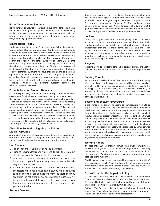have successfully completed the PA Dept of Health training.

#### **Early Dismissal for Students**

No student will be allowed to leave school during the school day unless he/she has a note signed by a parent. Students that are excused may not be transported by other students nor use other students vehicles. Leaving school without permission may result in suspension or detention, depending upon the situation.

#### **Electronics Policy**

Students are reminded of the Coudersport Area School District electronics policy. Students are only permitted to use their cell phones or hand held technical devices during the scheduled lunchtime in the cafeteria. Students must use our schools Wi-Fi for internet conversing. Picture taking is prohibited while school is in session. If a student is ill, they are to report to the school nurse, not call a family member to be excused. If parents need to leave a message for students during the school day, please contact the front office and the message will be delivered to the students. Students who are using cell phones or any electronic equipment will have their cell phone or electronic equipment confiscated and sent to the office for pick up at the end of the day. If the cell phone or electronic equipment is seen a second time, it will be confiscated. A third offense will result in confiscation of the device, which will require a parent or guardian to come into the school to retrieve the device.

#### **Expectations for Student Behavior**

It is the responsibility of the high school principal to maintain a safe environment for all who enter the school building. In order to maintain that safe environment, students are expected to refrain from any kind of physical or verbal abuse of other people within the school setting. Students should be respectful of all who enter the school building. Harassment, bullying, fighting, swearing or other displays of disrespect will not be tolerated. Students who exhibit these behaviors will be assigned a consequence of the Coudersport Area School District discipline code as well as a possible referral to the appropriate local law enforcement agency. Students are expected to display good student behavior at all events sponsored by the school district including extra-curricular events and transportation provided by the school district.

#### **Discipline Related to Fighting on School District Grounds**

Any student who uses physical aggression to settle an argument or confrontation will result in disciplinary action by the administration and may result in the involvement of local law enforcement.

#### **Hall Passes**

- 1. Ask the teacher if you may leave the classroom.
- 2. Prior to leaving classroom, you need to sign the "sign out sheet", and sign the "sign in sheet" when you return.
- 3. You need to have a pass to go to another classroom, the bathroom, to get a drink, etc. Any time you are in the hallway, you need a pass.
- 4. All teachers will require you to have a pass upon entering the classroom. If you do not have one, you will be required to go back to the class and get one from the teacher. If you are out in the hall during class time without a pass, you will be required to go back to your teacher to get a pass. Any teacher, staff or administrator may ask to see your pass while you are in the hall.

Students are encouraged to attend dances throughout the school year. Any CHS student bringing a student from another district must have approval from the sending district principal as well as approval from the CHS principal. Homecoming is for grades 9 - 12 only and dates cannot be older than 20 years of age. Prom is for grades 11 & 12 and for 10th graders if asked by a junior or senior. Students cannot be older than 20 years and approval must be made through the HS office.

#### **Lockers**

Lockers are assigned to students at the beginning of each school year and should be locked throughout the school day. The school district is not responsible for lost or stolen articles from the lockers. Students are reminded they are responsible for the contents in his or her locker, therefore it is advised that students not share lockers. It is also important to note that lockers are school property and in order to provide a safe school environment, administrators may search lockers if a reasonable suspicion exists.

#### **Bicycles**

Students may ride bicycles to school, but student bicycles are not the school's responsibility. Bikes are to be parked at the designated bike racks.

#### **Parking Permits**

Parking permits may be obtained from the front office at the beginning of the school year. Students who are seniors will be allowed to register first, followed by juniors and sophomores. Students must sign for the parking pass and return the parking pass at the end of the school year. Student should also note that parking on school grounds is a privilege and not a right. Students who abuse the privilege may have their parking permits revoked.

#### **Search and Seizure Procedures**

In the event a locker or person needs to be searched, care will be taken to protect the student's privacy, however students should be aware they have a much less expectation of privacy in the school system than the population in general. In the event a locker needs to be searched, the student will be present unless there is a threat to the health, welfare or safety of students. Students will be given notice of the search and accompany the administrator to the locker. Students may also be asked to empty backpacks, purses or pockets. Students who are found with any illegal substances will be disciplined by administration as well as referred to local law enforcement. Students should also be aware reasonable suspicion is applied to automobile searches as well, therefore objects in plain view in an automobile in the school parking lot, creates no expectation of privacy.

#### **Working Papers**

If you are under 18 years of age, you must obtain a work permit in order to accept employment. The law has certain requirements concerning the type of work you may do, the hours, and under what conditions you may work. Applications and all necessary information may be obtained at the main office.

Good judgment must be exercised in seeking employment. A student's first responsibility is to his/her school work. If a job deprives a student of his/her study time and participation in school activities, he/she will not be able to maintain a satisfactory school record.

#### **Extra-Curricular Participation Policy**

This policy will govern all extra-curricular activities, sponsored by the Coudersport Area School District. Students enrolled in the Coudersport Area School District, as well as district-approved homeschool students are eligible to participate in extra-curricular activites.

**Defined:** The Extracurricular Participation Policy as adopted by the Coudersport Area School Board defines extracurricular as any activity that has one or more of the following characteristics:

#### **Student Dances**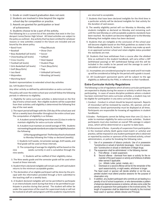- 1. Grade or credit toward graduation does not exist.
- 2. Students are involved in time beyond the regular school day for competition or practice.
- 3. Awards are granted for participation or level of achievement.
- 4. Students choose to be a part of the activity.

The following list is a current list of the activities that exist in the Coudersport Junior/Senior High School. All listed activities are subject to the policy as outlined. Any activity that has been omitted for whatever reasons or new activities created in the future are included and are bound by the above policy.

- Band Front Plays/Musicals
- 
- 
- Baseball **Call Contact Contact Contact Contact Contact Contact Contact Contact Contact Contact Contact Contact Contact Contact Contact Contact Contact Contact Contact Contact Contact Contact Contact Contact Contact Conta**
- Boys Basketball (all levels) Soccer
- Cheerleading (all levels) Softball
- Cross Country Steel Appeal
- Football (all levels) Student Plays
- Girls Basketball (all levels) Track (Boys/Girls)
- Golf (Boys/Girls) Trap
- Jazz Band Volleyball (all levels)
- Majorettes Wrestling (all levels)
- Marching Band

Student representatives to extended school day activities

(ex. IU9 Student Forum)

Any other activity as defined by administration as extra curricular

The policy will cover the entire school year and will follow the following periods in reference to eligibility.

1. Eligibility for extra-curricular activities is determined on the first day of every school week. Non-eligible students will be suspended from their activites until eligibility is determined the following first day of the next week.

2. The report period will begin with the 15th day of the school year and fall on a weekly basis thereafter throughout the entire school year. The computation of eligibility is as follows:

A. A student cannot be failing more than one (1) class in order to maintain eligibility for extra-curricular activities.

 B. A student must maintain an overall average of 70%. Students not meeting the grade standards are subject to ineligibility based on the following:

1) If during a grading period - The first day of each school week to Monday following the Friday so declared (weekly).

C. Students 1st 9-weeks, 1st semester average, 3rd 9-weeks, and final grade will be used at those intervals.

D. The computing of average for eligibility will be based on the nine weeks currently in and is cumulative through the nine weeks.

E. Students will be notified of their eligibility status.

- 3. The Nine weeks grade and the semester grade will be used when issued at these intervals.
- 4. Student that is declared ineligible will remain such until said student returns to the minimum acceptable grades.
- 5. The declaration of an eligible participant will be done by the principal with the information provided through a form submitted to the teaching staff on a weekly basis.
- 6. A Student declared ineligible will not be permitted to participate in an interscholastic event during that time or be permitted to participate in practice during that period. The student will either be under the supervision of the coach for supervised study or will not be involved at all with said program until the academic requirements

are returned to acceptable.

- 7. Students that have been declared ineligible for the third time in a particular activity will be declared ineligible for that activity for the duration of said season.
- 8. The weekly eligibility period will run Monday to Monday, with students ineligible so declared on Monday and remaining such until the next Monday or until acceptable academic standards have been reached. No student can become eligible prior to the Monday following that ineligible status has been declared.
- 9. Students that are ineligible at the conclusion of the school year will become eligible based on the PIAA guidelines as stated in the PIAA handbook, Article IX, Section 5. Students may make up work in an approved summer school and retain eligible status provided the standards are met.
- 10. Students that have withdrawn from a course after the allotted time as outlined in the student handbook, will carry either a WP (withdrawal passing) or WF (withdrawal failing) and this will be included in the credits to be passed and the average to used in calculation of overall average.
- 11. Incompletes are considered passing for one week and if not made up will be considered as failing for the period until a grade is issued.
- 12. All Coudersport sponsored sports will be subject to the age eligibility as defined by the PIAA, in reference to their handbook.

#### **Extra-Curricular Activity Regulations**

The following is a list of regulations which all extra curricular participants are expected to display during the season or activity in which they are participating. In cases of severe discipline problems where a student has been restricted from extra curricular activities, a student may not be eligible for participation in any extra curricular activity.

- I. Conduct Conduct in school should be beyond reproach. Reports of misconduct will be reviewed by coaches, AD, sponsor, and administrators. Good sportsmanship must be displayed at all times. Participants are responsible for knowing all regulations in student handbooks.
- II.Grades Participants cannot be failing more than one (1) class in order to maintain eligibility for extra-curricular activities. Student participants must also maintain an overall 70% average in subject areas, which will be determined on a quarter to date basis.
- III.Enforcement of Rules A penalty of suspension from participation in the involved activity (both game-meet-match or activity) and practice, will be imposed on any student participant who is observed or reported by coaches or sponsors of the involved activity, school administrators, or police for breaking the following rules:
	- 1. Use of or possession of tobacco products. Use of or possession \*(constructive or actual) of alcoholic beverages. Use of or possession \*(constructive or actual) or distribution of illegal drugs.
	- 2. The suspension shall be administered in the following manner:
		- A. First offense 2 week suspension.
			- B. Second offense dismissal from team or activity for the remainder of the sport season or activity and forfeiture of athletic letter earned if applicable.
				- (i.e.: Athletic Letter, jacket, medals, etc.)
			- C. Dismissal on a second offense will be for the remainder of the sport season/activity, or eight weeks, whichever is longer.

The head coach or sponsor will decide whether or not the suspended student must attend practice sessions for the purpose of observation only.

3. In addition, any student participant who commits an act leading to a penalty of out of school suspension, or who demonstrates a pattern of absences deemed excessive or extreme, will also come under the penalty of suspension from participation in the involved activity. The length of suspension shall be determined mutually by the involved head coach or sponsor, athletic director and Principal.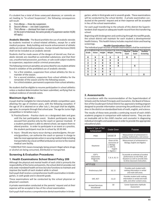If a student has a total of three unexcused absences; or commits an act leading to "In-school Suspension", the following consequences will result:

- A. First offense three day suspension.
- B. Second offense one week suspension.
- C. Third offense dismissal from team or activity. (In the event of dismissal, the same penalty of suspension-section III(2B) will apply.)

**Anabolic Steroids** - The Board prohibits the use of anabolic steroids by students involved in school-related athletics, except for a valid medical purpose. Body building and muscle enhancement of athletic ability are not valid medical purposes. Human Growth Hormone (HGH) shall not be included as an anabolic steroid.

Students shall be made aware of the dangers of steroid use; that anabolic steroids are classified as controlled substances; and that their use, unauthorized possession, purchase, or sale could subject students to suspension, expulsion and/or criminal prosecution.

The following minimum penalties are prescribed for any student athlete found in violation of the prohibited use of anabolic steroids:

- 1. For a first violation, suspension from school athletics for the remainder of the season.
- 2. For a second violation, suspension from school athletics for the remainder of the season and for the following season.
- 3. For a third violation, permanent suspension from school athletics.

No student shall be eligible to resume participation in school athletics unless a medical determination has been submitted, verifying that no residual evidence of steroids exists.

#### **Maximum Age Rule -**

A pupil shall be ineligible for interscholastic athletic competition upon attaining the age of nineteen years, with the following exception: If the age of 19 is attained on or after July 1, the pupil shall be eligible, age-wise, to compete through that school year. The age for Junior High competition is 16 before July 1.

- IV. Practice/Events Practice starts on a designated date and goes until the last participation event. Student participants may be excused from practice only by the coach or sponsor involved. If a student participant is able to attend school, we expect them to attend practice. In order to participate in an event or a practice, the student participant must be in school by 10:30 AM.
- V. Injury Should any injury occur during a practice/game, the parents/guardians, can authorize the coach or sponsor in charge to take the most appropriate action in securing medical help including transportation by a local certified ambulance service to the nearest medical care facility.

\* CONSTRUCTIVE means knowingly being present illegal where drugs or alcohol are being consumed, distributed or transported.

#### **Screening & Evaluation Procedures**

#### **1. Health Examinations School Board Policy 209**

Although the physical and mental health of each child is primarily the responsibility of the home and parents, the school district provides not only state-mandated health services but also functions to maintain and improve the health of each student while in school.

Each pupil shall receive a comprehensive health examination in kindergarten, in sixth grade and in eleventh grade.

These examinations will be conducted by the school physician or physician's assistant.

A private examination conducted at the parents' request and at their expense will be accepted in lieu of the school examination.

Each pupil shall receive a comprehensive dental examination in kinder-

garten, while in third grade and in seventh grade. These examinations will be conducted by the school dentist. A private examination conducted at the parents' request and at their expense will be accepted in lieu of the school examination.

For each pupil transferring to the schools of this district the Superintendent shall request an adequate health record from the transferring school.

Beginning with kindergarten and continuing through the twelfth grade, the school district will maintain for each student a developmental health history. This health history includes required vision and hearing screenings.

The individual pupil records of health examinations shall be maintained **Health Examination Chart**

| Grade | <b>Vision</b> | Height | Weight | <b>Hearing</b> | Exam | Exam | as a confidential record subject to statute and the policies of this district.<br><b>Screening</b> |
|-------|---------------|--------|--------|----------------|------|------|----------------------------------------------------------------------------------------------------|
| К     | x             | x      | Χ      | x              | Х    |      |                                                                                                    |
|       | Χ             | Χ      | Χ      | Χ              |      |      |                                                                                                    |
|       | x             | Χ      | Χ      | x              |      |      |                                                                                                    |
| 3     | Χ             | Χ      | Χ      | x              |      | Χ    |                                                                                                    |
|       | x             | X      | X      |                |      |      |                                                                                                    |
| 5     | x             | X      | Χ      |                |      |      |                                                                                                    |
| 6     | Χ             | Χ      | x      |                | х    |      |                                                                                                    |

#### **2. Assessments**

In accordance with the recommendation of the Superintendent of Schools and the School Principals and Counselors, the Board of Education of the Coudersport School District has approved a testing program designed to provide information concerning the proficiency of all children in the district on standardized tests of math, english, and science.

The results of these tests provide a continuing record of each child's academic progress in comparison with national norms.  They are also an invaluable aid to the child's teacher and counselor in diagnosing individual strengths and weaknesses in order to provide the appropriate educational plan.

| Name & Type of Test<br>Achievement        | <b>Grade Given</b>                                                                    | Purpose                                                                                                                                  |
|-------------------------------------------|---------------------------------------------------------------------------------------|------------------------------------------------------------------------------------------------------------------------------------------|
| <b>PSSA</b>                               | 3,4,5,6,7,8                                                                           | Measurement of achievement in<br>reading, mathematics, and science                                                                       |
| Keystone                                  | Given at the<br>conclusion of<br>1. Biology<br>2. 10th Gr.<br>English<br>3. Algebra I | Measurement of achievement in<br>Biology, English and Algebra                                                                            |
| CDT's<br>Classroom<br>Diagnostic<br>Tools | 7, 8, 9, 10, 11                                                                       | To provide an estimate of student<br>performance on the PSSA, and<br>Keystone as well as provide data<br>to drive classroom instruction. |
| <b>APTITUDE</b>                           |                                                                                       |                                                                                                                                          |
| Preliminary SAT                           | 10, 11                                                                                | Provides each student with<br>ranking information in verbal<br>and math skill areas.                                                     |
| SAT, ACT                                  | 11,12                                                                                 | Provides student with ranking<br>information in verbal and math<br>skills, and other content areas.                                      |
| <b>Armed Services</b><br>Vocational       | 10                                                                                    | Career Exploration Aptitude<br>Assessment                                                                                                |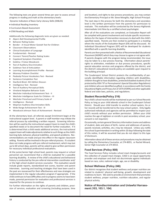The following tests are given several times per year to assess annual progress in reading and math at the elementary levels:

Dynamic Indicators of Basic Early Literacy Skills (DIBLES)

- ♦ Individual Reading Inventory
- ♦ Curriculum-Based Assessment
- ♦ STAR Reading and Math

Additionally the following diagnostic tests are given as needed:

- Alpern-Boll Developmental Profile
- **Behavior Rating Scales**
- Bender A Visual Motor Gestalt Test for Children
- Classroom Observations
- Clinical Evaluation of Language
- Fundamentals Revised
- Conners' Parent/Teacher Rating Scales
- Copeland Symptom Checklists
- Goldma -Fristoe-Woodcock:
- Test of Auditory Discrimination
- Goldman Test of Articulation
- Learning Accomplishment Profile Revised
- Mooney Problem Checklist
- Peabody Picture Vocabulary Test Revised
- Sentence Completion Test
- Stanford-Binet: 4th Edition Slosson
- Intelligence Test Revised
- Test of Auditory Perceptual Skills
- Vineland Adaptive Behavior Scale
- Wechsler Individual Achievement Test II
- Wechsler Intelligence Scale for Children III
- Wechsler Preschool and Primary Scale of
- Intelligence Revised
- Wepman Auditory Discrimination Skills
- Wide Range Achievement Test III
- Woodcock-Johnson Tests of Achievement Revised

At the elementary level, all referrals except Enrichment begin at the instructional support level. A parent or staff member may initiate the referral process by submitting a written request. Screening information will be used by the instructional support team to meet the child's specified needs or to document the need for further evaluation. If it is determined that a child needs additional services, the instructional support team will make adjustments relative to such things as the child's learning style, behavior, physical inabilities, and speech problems. Recommendations are made and put into effect in the regular classroom setting. Parents will be involved in the pre-referral process. If a student does not make progress with pre-referral involvement, which may last up to 60 school days, parents will be asked to give written permission for necessary individual professional evaluations.

At the junior/senior high school level, parents may request or school personnel can recommend that a child be evaluated for a possible learning disability. A review of the child's educational and behavioral history is conducted by the pre-referral intervention coordinator and/ or the high school student services counselor. This evaluation would include grade reports, standardized test scores, teacher and parent interviews. Learning and teaching strategies that have been used in the past are reassessed for their effectiveness and new strategies are implemented in the regular education program if appropriate. If the child continues to have difficulties and no progress seems to have been made, parental permission for evaluation and professional services is required for the process to continue.

For further information on the rights of parents and children, provision of services, evaluation and screening (including purpose, time and location), and rights to due process procedures, you may contact the Elementary Principal or Mr. Steve Mongillo, High School Principal.

The next step in the process for both the elementary and secondary level is the written permission from the parents for permission to evaluate. This evaluation will be conducted by the Seneca Highlands Intermediate Unit Nine by a certified school psychologist.

After all of the evaluations are completed, an Evaluation Report will be compiled with parent involvement and include specific recommendations for the types of intervention necessary to deal with the child's specified needs. Parents are then invited to participate in a meeting where the results of the Evaluation Report (ER) will be discussed. An Individual Educational Program (IEP) will be developed for students identified with a specific learning disability.

Parents are then presented with a Notice of Recommended Educational Placement (NOREP) which they may choose to agree or not agree with. If parents disagree with the program being recommended, the issue may be taken to a due process hearing. Information about parents' rights to arbitration, mediation or due process procedures, specific special education services and programs offered by the district, and the district's educational records policy are available upon request to the building principal.

The Coudersport School District protects the confidentiality of personally identifiable information regarding children with disabilities, children thought to have disabilities, protected disabled students (if not protected by IDEA '97 or Pennsylvania's Special Education Regulations) and children who are identified as gifted, in accordance with the Family Educational Rights and Privacy Act of 1974 (FERPA) and other applicable federal and state laws, policies, and regulations.

#### **Student Records(Policy 216)**

Your child's school records will be maintained as per our School Records Policy as long as your child attends school in the Coudersport School District. Should your child transfer to another school system, his or her records will be transferred to the new school system. Only legally authorized individuals and agencies will be permitted to inspect your child's records without your written permission. (When your child reaches the age of eighteen or enrolls in post secondary school, your consent is not required.)

Occasionally, certain general Directory information (name and address of student, date and place of birth, names and addresses of parents, awards received, activities, etc.) may be released. Unless you notify the school Superintendent in writing within 20 days following the date of this notice, it will be assumed that you do not object to this type of disclosure.

Information about all of these services and procedures may be obtained by calling the Elementary Counselor, at 274-8055, or Rachel Minard, Senior High Counselor at 274-8553.

#### **Food Services (Policy 808)**

The Food Services Policy includes school meal charges/accounts and the collection of unpaid meal charges. CASD is an equal opportunity provider and employer and shall not discriminate against individuals based on race, color, national origin, age, sex or disability.

#### **School Wellness (Policy 246)**

Our district recognizes that student wellness and proper nutrition are related to students' physical well-being, growth, development and readiness to learn. We seek to provide an environment that promotes student wellness, proper nutrition, nutrition education, and regular physical activity.

#### **Notice of Nondiscrimination and Unlawful Harrassment (103, 103.1, 104)**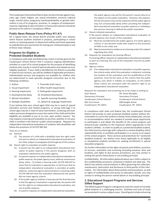The Coudersport Area School District does not discriminate against race, color, age, creed, religion, sex, sexual orientation, ancestry, national origin, marital status, pregnancy, handicap/disability, or genetic information in any of its programs, practices, or category of employment. Inquiries regarding its discrimination or harassment policies should be directed to the district's Compliance Officer.

#### **Public News Release Form (Policy 911.A1)**

On a regular basis, the school district provides public new releases which feature students involved in projects, participating in school events, or receiving awards. A release form will be sent home separately to seek/decline your permission for having your child participate in any of these news releases.

#### **Programs for Eligible or Protected Disabled Students**

In compliance with state and federal law, notice is hereby given by the Coudersport School District that it conducts ongoing identification activities as a part of its school program for the purpose of identifying students who may be in need of special education and related services (eligible students). If your child is identified by the District as possibly in need of such services, you will be notified of applicable procedures. Individualized services and programs are available for children who are determined to need specially designed instruction due to the following conditions:

- 
- 1. Autism 7. Traumatic brain injury
- 2. Visual impairment 8. Other health impairments
- 3. Hearing impairment 9. Orthopedia impairment
- 4. Developmental delay 10. Emotional disturbance
- 5. Mental retardation 11. Specific Learning Disability
- 6. Multiple disabilities 12. Speech & Language impairment

If you believe that your school-aged child may be in need of special education services and related programs, or young child (age 3 to school-age) may be in need of early intervention, screening and evaluation processes designed to assess the needs of the child and his/her eligibility are available to you at no cost, upon written request. You may request screening and evaluation at any time, whether or not your child is enrolled in the District's public school program. Requests for independent educational evaluations of students with disabilities will follow the provisions of 34 CFR 300.502.

They are as follows:

- (a) General
	- (1) The parents of a child with a disability have the right under this part to obtain an independent educational evaluation of the child, subject to paragraphs (b) through (e) of this section.
- (b) Parent right to evaluation at public expense
	- (1) A parent has the right to an independent educational evaluation at public expense if the parent disagrees with an evaluation obtained by the public agency.
	- (2) If a parent requests an independent educational evaluation at public expense, the public agency must, without unnecessary delay, either - (i) Initiate a hearing under 34 CFR 300.507 to show that its evaluation is appropriate; or (ii) Ensure that an independent educational evaluation is provided at public expense, unless the agency demonstrates in a hearing under 34 CFR 300.507 that the evaluation obtained by the parent did not meet agency criteria.
	- (3) If the public agency initiates a hearing and the final decision is that the agency's evaluation is appropriate, the parent still has the right to an independent educational evaluation, but not at public expense.
	- (4) If a parent requests an independent educational evaluation,

the public agency may ask for the parent's reason why he or she objects to the public evaluation. However, the explanation by the parent may not be required and the public agency may not unreasonably delay either providing the independent educational evaluation at public expense or initiating a due process hearing to defend the public evaluation.

(c) Parent-initiated evaluations

If the parent obtains an independent educational evaluation at private expense, the results of the evaluation

- (1) Must be considered by the public agency, if it meets agency criteria, in any decision made with respect to the provision of FAPE to the child; and
- (2) May be presented as evidence at a hearing under this subpart regarding that child.
- (d) Requests for evaluations by hearing officers.

If a hearing officer requests an independent educational evaluation as part of a hearing, the cost of the evaluation must be at public expense.

- (e) Agency criteria.
	- (1) If an independent educational evaluation is at public expense, the criteria under which the evaluation is obtained, including the location of the evaluation and the qualifications of the examiner, must be the same as the criteria that the public agency uses when it initiates an evaluation, to the extent those criteria are consistent with the parent's right to an independent educational evaluation.

Requests for evaluation and screening are to be made in writing to:

| Sean Reams                         | Mr. Steve Mongillo                 |
|------------------------------------|------------------------------------|
| <b>Elementary Principal</b>        | Secondary Principal                |
| <b>Coudersport School District</b> | <b>Coudersport School District</b> |
| 802 Vine Street                    | 698 Dwight Street                  |
| Coudersport, PA 16915              | Coudersport, PA 16915              |

In compliance with state and federal law, the Coudersport School District will provide to each protected disabled student without discrimination or cost to the student or family, those related aids, services or accommodations which are needed to provide equal opportunity to participate in and obtain the benefits to the school program and extracurricular activities to the maximum extent appropriate to the student's abilities. In order to qualify as a protected disabled student, the child must be school age with a physical or mental disability, which substantially limits or prohibits participation in or access to an aspect of the school program. These services and protections for "protected disabled students" are distinct from those applicable to all eligible or exceptional students enrolled (or seeking enrollment) in special education programs.

For further information on the rights of parents and children, provision of services, evaluation and screening (including purpose, time and location), and rights to due process procedures, you may contact in writing the person listed above or any building principal.

Confidentiality: All information gathered about your child is subject to the confidentiality provisions contained in federal and state law. The district has policies and procedures in effect governing the collection, maintenance, destruction and disclosure to third parties of this information. For information about these policies and procedures, as well as rights of confidentiality and access to education records, you may contact in writing the person named above or any building principal.

#### **3. Educational Support Programs and Services Gifted Support**

The Gifted Support Program is designed to meet the needs of mentally gifted students in a challenging manner. Activities and units of study are presented in various subject areas. Overall goals include enhancing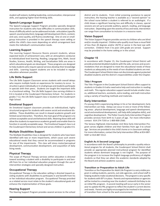student self-esteem, building leadership, communication, interpersonal skills, and applying higher-level thinking skills.

#### **Speech-Language Support**

The Speech-Language Support Program provides specially designed instruction for students who have difficulties in communication skills. Areas of difficulty which can be addressed include: articulation (specific speech-sound production), language skill development (form, content, and use), voice quality, and fluency (stuttering). One on one or smallgroup instruction is provided in the speech therapy room setting or within the child's class-room depending on which arrangement best meets the individual's communication needs.

#### **Learning Support**

The Learning Support Resource Rooms present students, whose expected levels of achievement vary, with an atmosphere conducive to individualized level learning. Reading, Language Arts, Math, Social Studies, Science, Health, Writing, and Socialization Skills are areas in which educational goals are developed. These programs are designed to help students who require special services develop their knowledge and skills. Learning Support students are to be included in regular education whenever possible.

#### **Life Skills Support**

The Life Skills Support Classroom serves students with overall delays who require multiple hands on experiences for mastery to occur. Instruction is given individually or in small groups and students participate in specials with their peers. Students are taught the important skills in a functional setting. The Life Skills Support class serving children in K-6 is located at the Coudersport Elementary School. For students in grades 7-12, the Life Skills Support class is located at the Coudersport High School.

#### **Emotional Support**

An Emotional Support classroom provides an individualized, highly structured program for students with severe social and emotional disabilities. These disabilities can result in slowed academic growth and limited social interaction. Therefore, the main goal of the program is to achieve acceptable social and behavioral skills. Attaining these skills will allow the students to experience academic growth and enable them to function in socially acceptable ways. The Emotional Support class is at the Coudersport Elementary School and serves children in grades K-6.

#### **Multiple Disabilities Support**

The Multiple Disabilities Class is designed for students who have been identified with two or more impairments, which cause such severe educational needs that they cannot be accommodated in programs for one of the impairments. This class will stress motor/perceptual development, communication development, and acquisition of daily living needs.

#### **Physical Therapy**

The scope of Physical Therapy services within education is directed toward assisting a student with a disability to participate in and benefit from his or her individual education program through the use of intervention strategies and specially designed instruction.

#### **Occupational Therapy**

Occupational Therapy in the education setting is directed toward assisting students with disabilities to participate in and benefit from his or her individual education program. Occupational Therapy provided as a related service must relate to the student's educational goals and enhance the implementation of those goals.

#### **Hearing Support**

The Hearing Support Program provides several services to the school

district and its students. From initial screening assistance to special instruction, the hearing teacher is available as a "second opinion" to the school nurse before a student is referred to an audiologist. If a child shows a significant hearing loss and difficulty in classes, special sessions are set up to provide auditory, speech, reading, and language instruction. Depending upon the severity of loss and need, intervention can range from consultation to inclusion in a resource room.

#### **Vision Support**

The Vision Support Program provides service to children who are blind and/or visually impaired. Children who qualify must have a visual field of less than 20 degrees and/or 20/70 or worse in the best eye with correction. Children from 3 to post 12th grade are served. Support may be provided in the home setting or in the school.

#### **Chapter 15**

In accordance with Chapter 15, the Coudersport School District will provide protected disabled students with the aids, services and accommodations that are designed to meet the educational needs of these students as adequately as the needs of non-disabled students are met. The Coudersport School District does not discriminate against protected disabled students and the district's responsibilities under the Chapter.

#### **Title I Program**

The Title I Program in the Coudersport School District offers support to students in Grades K-6 who need extra help and instruction in reading and math. This regular education support would include smaller classes, additional teachers, assistants, extra reading, and math instruction using a variety of teaching methods and materials.

#### **Early Intervention**

If a young child is experiencing delays in his or her development, Early Intervention can help. Delays can occur in one or more of the following areas: physical development, language and speech development, social and emotional development, self-help skills (adaptive skills), and cognitive development. The Potter County Early Intervention Program provides services from birth to 3 years of age. For more information contact: 814-274-7193 or 1-800-800-2560.

The Seneca Highlands Intermediate Unit Nine Early Intervention Program serves eligible children and their families from age 3 to school age. Services are provided in the child's home or in classroom settings. For more information, contact the Early Intervention Office at 814-887- 9287 or 814-887-5512.

#### **English As A Second Language**

In accordance with the Board's philosophy to provide a quality educational program for all students, the Coudersport School District shall provide an appropriate planned instructional program for identified students whose dominant language is not English. The purpose of the program is to increase the English language proficiency of eligible students so that they can attain the academic standards adopted by the Board and achieve academic success.

#### **Transition or Preparation to Adult Life**

Transition or the Preparation for Adult Life Program is a very visible program in aiding students, parents, out-side agencies, and school staff in helping students make vocational decisions. The program is very specific for students with IEP's in place. Parents and representatives or agencies will be invited to a meeting near the student's sixteenth birthday to do an initial PAL program. A second meeting will occur early in the senior year to update the PAL program to reflect the student's current desires and needs. Parents are highly encouraged to be involved in the process of transition from school to the work environment.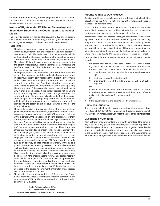For more information on any of these programs, contact the Student Services office at the High School (274-8500) or the guidance office at the Elementary School (274-8055).

#### **Notice of Rights under FERPA for Elementary and Secondary Studentsin the Coudersport Area School District**

The Family Educational Rights and Privacy Act (FERPA) affords parents and students who are 18 years of age or older ("eligible students") certain rights with respect to the student's education records.

These rights are:

- 1. The right to inspect and review the student's education records within 45 days after the day the school receives a request for access. Parents or eligible students who wish to inspect their child's or their educational records should submit to the school principal a written request that identifies the records they wish to inspect. The school official will make arrangements for access and notify the parent or eligible student of the arrangements for access and notify the parent or eligible student of the time and place where the records may be inspected.
- 2. The right to request the amendment of the student's education records that the parent or eligible student believes are inaccurate, misleading, or otherwise in violation of the student's privacy rights under FERPA. Parents or eligible students who wish to ask the school to amend their child's or their education record should write the school principal (or appropriate school official), clearly identify the part of the record they want changed, and specify why it should be changed. If the school decides not to amend the records as requested by the parent or eligible student, the school will notify the parent or eligible student of the decision and their right to a hearing regarding the request for amendment. Additional information regarding the hearing procedures will be provided to the parent or eligible student when notified of the right to a hearing.
- 3. The right to provide written consent before the school discloses personally identifiable information (PII) from the student's education records, except to the extent that FERPA authorizes disclosure without consent. One exception, which permits disclosure without consent, is disclosure to school officials with legitimate educational interests. A school official is a person employed by the school or school district as an administrator, supervisor, instructor, support staff member, or a person serving on the school board. A school official also may include a volunteer, contractor, or consultant who, while not employed by the school, performs as institutional service or function for which the school would otherwise use its own employees and who is under the direct control of the school with respect to the use and maintenance of PII from education records, such as an attorney, auditor, medical consultant, or therapist; a parent or student volunteering to serve on an official committee, such as a disciplinary or grievance committee; or a parent, student, or other volunteer assisting another school official in performing his or her tasks. A school official typically has a legitimate educational interest if the official needs to review an education record in order to fulfill his or her professional responsibilty. Upon request, the school discloses education records without consent to officials of another school or school district in which a student seeks or intends to enroll, or is already enrolled if the disclosure is the purposes of the student's enrollment or transfer. These records will be forwarded upon request.
- The right to file a complaint with the U.S. Department of Education concerning alleged failures by the school to comply with the requirements of FERPA. The name and address of the Office that administers FERPA are:

**Family Policy Compliance Office U. S. Department of Education 400 Maryland Avenue, SW, Washington, D. C. 20202-4605** 

#### **Parents Rights to Due Process**

Consistent with the recent changes to the Individuals with Disabilities Education Act, the District is notifying you of the following changes to the Notice of Parents Rights:

Prior to a due process hearing, parents must provide written notice to the District regarding their problem with the District's proposed or existing program, placement, evaluation or identification.

Parents requesting a due process hearing must notify the school in writing of the nature of the problem with the school's proposed or existing program, placement, evaluation or identification; facts relating to such problem; and a proposed resolution of the problem to the extent known and available to the parents at the time. This notice is mandatory, and failure to provide it to the school can diminish or extinguish a claim for attorney's fees and costs if the parents are represented by counsel.

Parental claims for tuition reimbursement can be reduced or denied entirely—

- **1**. If a parent does not advise the school at the last IEP team meeting prior to withdrawal of their child from school or at least ten business days prior to withdrawal of their child from school
	- A. that they are rejecting the school's program and placement offer;
	- B. their concerns with that offer; and
	- C. their intent to enroll the child in a private school at public expense.
	- OR
- 2. If prior to withdrawal, the school notifies the parents of its intent to evaluate with its reasons therefore, and the parents refuse to make their child available for such evaluation. OR
- 3. If the court finds that the parents acted unreasonably.

#### **Homeless Students**

If you or your child should become homeless, please contact Mrs. Traci Budd at 814-274-8501 or via email ar tbudd@coudyschools.net. You may qualify for services if you meet the criteria for homelessness.

#### **Questions or Concerns**

Administrators are always willing to work with parents and the community. If you have any questions or concerns, we ask that you apeak with the building leve administrator so you can work together to resolve the problem. If you feel that you have not been able to resolve your concern at the building level, your next level of appeal is to the Superintendent who will speak with you over the telephone or meet with you in person.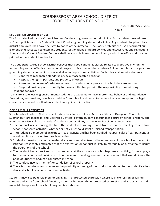## COUDERSPORT AREA SCHOOL DISTRICT CODE OF STUDENT CONDUCT

ADOPTED: MAY 7, 2018

218.A

#### **STUDENT DISCIPLINE (SBP 218)**

The Board shall adopt this Code of Student Conduct to govern student discipline. Each student must adhere to Board policies and the Code of Student Conduct governing student discipline. Any student disciplined by a district employee shall have the right to notice of the infraction. The Board prohibits the use of corporal punishment by district staff to discipline students for violations of Board policies and district rules and regulations. A copy of this Code of Student Conduct shall be available in each school library and school office and may be printed in the student handbooks.

The Coudersport Area School District believes that good conduct is closely related to a positive environment for learning and an effective instructional program. It is expected that students follow the rules and regulations governing student conduct in school and at school-sponsored activities. Such rules shall require students to:

- Confirm to reasonable standards of socially acceptable behavior.
- Respect the rights, persons, and property of others.
- Preserve the degree of order necessary to the educational program in which they are engaged
- Respond positively and promptly to those adults charged with the responsibility of monitoring student behavior.

To ensure a safe learning environment, students are expected to have appropriate behavior and attendance. Detentions, suspensions, possible expulsion from school, and law enforcement involvement/potential legal consequences could result when students are guilty of infractions.

#### **OFF-CAMPUS ACTIVITIES**

Specific school policies (Extracurricular Activities, Interscholastic Activities, Student Discipline, Controlled Substances/Paraphernalia, and Electronic Devices) govern student conduct that occurs off school property and would otherwise violate the Code of Student Conduct if any or the following circumstances exist:

- 1. The conduct occurs during the time the student is traveling to and from school or traveling to and from school-sponsored activities, whether or not via school district furnished transportation.
- 2. The student is a member of an extracurricular activity and has been notified that particular off campus conduct could result in exclusion from such activities.
- 3. Student expression or conduct materially or substantially disrupts the operations of the school, or the administration reasonably anticipates that the expression or conduct is likely to materially or substantially disrupt the operations of the school.
- 4. The conduct has a direct nexus to attendance at the school or a school-sponsored activity, for example, a transaction conducted outside of school pursuant to and agreement made in school that would violate the Code of Student Conduct if conducted in school.
- 5. The conduct involves the theft or vandalism-of school property.
- 6. There is otherwise a nexus between the proximity or timing of the conduct in relation to the student's attendance at school or school-sponsored activities.

Students may also be disciplined for engaging in unprotected expression where such expression occurs off campus and away from school function, if a nexus between the unprotected expression and a substantial and material disruption of the school program is established.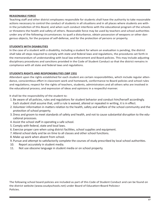#### **REASONABLE FORCE**

Teaching staff and other district employees responsible for students shall have the authority to take reasonable actions necessary to control the conduct of students in all situations and in all places where students are within the jurisdiction of this Board, and when such conduct interferes with the educational program of the schools or threatens the health and safety of others. Reasonable force may be used by teachers and school authorities under any of the following circumstances: to quell a disturbance, obtain possession of weapons or other dangerous objects, for the purpose of self-defense, and for the protection of persons or property.

#### **STUDENTS WITH DISABILITIES**

In the case of a student with a disability, including a student for whom an evaluation is pending, the district shall take all steps required to comply with state and federal laws and regulations, the procedures set forth in the memorandum of understanding with local law enforcement and Board policies. This may include adjusting disciplinary procedures and sanctions provided in the Code of Student Conduct so that the district remains in compliance with all state and federal laws and regulations.

#### **STUDENTS RIGHTS AND RESPONSIBILITIES (SBP 235)**

Attendant upon the rights established for each student are certain responsibilities, which include regular attendance, conscientious effort in classroom work and homework, conformance to Board policies and school rules and regulations; respect for the rights of teachers, students, administrators and all others who are involved in the educational process; and expression of ideas and opinions in a respectful manner.

It shall be the responsibility of the student to:

- 1. Be aware of all policies, rules and regulations for student behavior and conduct him/herself accordingly. Each student shall assume that, until a rule is waived, altered or repealed in writing, it is in effect.
- 2. Volunteer information in matters relation to the health, safety and welfare of the school community and the protection of school property.
- 3. Dress and groom to meet standards of safety and health, and not to cause substantial disruption to the educational processes.
- 4. Assist the school staff in operating a safe school.
- 5. Comply with federal, state and local laws.
- 6. Exercise proper care when using district facilities, school supplies and equipment.
- 7. Attend school daily and be on time to all classes and other school functions.
- 8. Make up work when absent from school.
- 9. Pursue and attempt to satisfactorily complete the courses of study prescribed by local school authorities.
- 10. Report accurately in student media.
- 11. Not use obscene language in student media or on school property.

The following school board policies are included as part of this Code of Student Conduct and can be found on the district website (www.coudyschools.net) under Board of Education>Board Policies> Policies.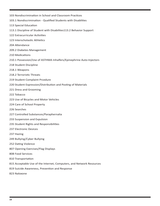- 103 Nondiscrimination in School and Classroom Practices
- 103.1 Nondiscrimination Qualified Students with Disablities
- 113 Special Education
- 113.1 Discipline of Student with Disabilites113.2 Behavior Support
- 122 Extracurricular Activities
- 123 Interscholastic Athletics
- 204 Attendance
- 209.2 Diabetes Management
- 210 Medications
- 210.1 Possession/Use of ASTHMA Inhalfers/Epinephrine Auto-Injectors
- 218 Student Discipline
- 218.1 Weapons
- 218.2 Terroristic Threats
- 219 Student Complaint Prcedure
- 220 Student Expression/Distribution and Posting of Materials
- 221 Dress and Grooming
- 222 Tobacco
- 223 Use of Bicycles and Motor Vehicles
- 224 Care of School Property
- 226 Searches
- 227 Controlled Substances/Paraphernalia
- 233 Suspension and Expulsion
- 235 Student Rights and Responsibilities
- 237 Electronic Devices
- 237 Hazing
- 249 Bullying/Cyber Bullying
- 252 Dating Violence
- 807 Opening Exercises/Flag Displays
- 808 Food Services
- 810 Transportation
- 815 Acceptable Use of the Internet, Computers, and Network Resources
- 819 Suicide Awareness, Prevention and Response
- 823 Naloxone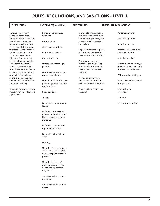# **RULES, REGULATIONS, AND SANCTIONS - LEVEL 1**

| <b>DESCRIPTION</b>             | INCIDENCES(not all incl.)    | <b>PROCEDURES</b>          | <b>DISCIPLINARY SANCTIONS</b> |
|--------------------------------|------------------------------|----------------------------|-------------------------------|
| Behavior on the part           | Minor inappropriaate         | Immediate intervention is  | Verbal reprimand              |
| of the student which           | behavior                     | required by the staff mem- |                               |
| impedes orderly classroom      |                              | ber who is supervising the | Special assignment            |
| procedures or interferes       | Cutting classes              | student or who ovserves    |                               |
| with the orderly operation     |                              | the incident               | <b>Behavior contract</b>      |
| of the school shall not be     | Classroom disturbance        |                            |                               |
| tolerated. These violations    |                              | Repeated incident requires | Parent conference(in per-     |
| are not suffciently serious    | Classroom tardiness          | a conference with school   | son or by phone)              |
| to render major disci-         |                              | personnel and/or principal |                               |
| plinary action. Behavior       | Cheating or lying            |                            | School counseling             |
| of this nature can usually     |                              | A proper and accurate      |                               |
| be handled by an indi-         | Disrespectful language or    | record of the incident(s)  | Loss of make-up privilege     |
| vidual staff member but        | gestures                     | and disciplinary action is | or credit when such work      |
| sometimes requires the in-     |                              | maintainted by the staff   | is related to the incident    |
| ervention of other school      | Disruptive behavior in and   | member                     |                               |
| support personnel and/         | around school area           |                            | Withdrawal of privileges      |
| or the principal and shall     |                              | It must be understood      |                               |
| be dealt with swiftly, fairly, | Non-difiant failure to com-  | that a violation must be   | Removal from bus/school       |
| and unemotionally.             | plete assignments or carry   | followed by consequences   | transportation                |
|                                | out directions               |                            |                               |
| Depending on severity, any     |                              | Report to Safe Schools as  | Administrative                |
| incident can be shifted to a   | Bus disturbance              | required                   | reprimand                     |
| higher level.                  |                              |                            |                               |
|                                | Yelling                      |                            | Detention                     |
|                                | Failure to return required   |                            | In-school suspension          |
|                                | forms                        |                            |                               |
|                                | Failure to return school     |                            |                               |
|                                | loaned equipment, books,     |                            |                               |
|                                | library books, and other     |                            |                               |
|                                | materials                    |                            |                               |
|                                | Failure to have required     |                            |                               |
|                                | equipment of attire          |                            |                               |
|                                | Failure to follow school     |                            |                               |
|                                | rules                        |                            |                               |
|                                | Littering                    |                            |                               |
|                                | Unauthorized use of park-    |                            |                               |
|                                | ing facilities, parking lot, |                            |                               |
|                                | and other parts of school    |                            |                               |
|                                | property                     |                            |                               |
|                                | Unauthorized use of          |                            |                               |
|                                | personal property; such      |                            |                               |
|                                | as athletic equipment,       |                            |                               |
|                                | bicycles, etc.               |                            |                               |
|                                | Violation with dress and     |                            |                               |
|                                | grooming                     |                            |                               |
|                                | Violation with electronic    |                            |                               |
|                                | device                       |                            |                               |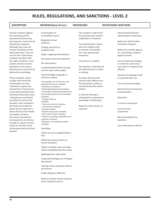## **RULES, REGULATIONS, AND SANCTIONS - LEVEL 2**

**DESCRIPTION INCIDENCES(not all incl.) PROCEDURES DISCIPLINARY SANCTIONS**

#### Certain incidents against the well being of the educational community may require a more formal disciplinary response although they may not involve infractions of the state penal laws. The reason for this is that these incidents interfere with the rights of others in the system and the smooth operation of the educational process and must be dealt with accordingly. These incidents, which usually result from the continuation of Level Continuation of unmodified Level 1 Repeated school tardiness Cutting class/Out of assigned area Major inappropriate behavior Disruptive classroom behavior Bus disturbance Insubordination/Failure to give correct name when asked Abusive/Vulgar language or obscene conduct \*Acceptable use of internet, and

1 behavior, require the intervention of personnel at the administrative level and beyond because Level 1 disciplinary sanction(s) has failed to correct the situation. Also included in this level are incidences which do not represent a direct threat to the health and safety of others, but whose educational consequences are serious enough to require correct action on the part of administrative personnel and beyond.

Network Resources Violation \*Attendance Violation

\*Bullying/Cyberbullying Violation \*Controlled Substances/Parapherna-

lia including alcohol and look-alikes Violation

\* Dating Violence

Violation \* Electronic Device Violation

\* Harassment Violation

- \*Hazing Violation
- \*Student Expression Violation
- \*Terroristic Threats Violation
- \*Tobacco including e-cigarettes and vaporizer Violation
- \*Weapons, including look-alikes Violation

#### Gambling

Failure to serve assigned detention

Defacing school property or minor vandalism

Failure to follow rules and regulations established by the school

Fighting/minor altercation

Forgery/Knowingly use of forged documents

Leaving school property without permission

Public display of affection

Refusal to leave school property when ordered to do so

The student is referred to the principal with written notification of violation.

The administrator meets with the student and/ or teacher and decides the most appropriate responses.

The parent is notified.

The teacher is informed of the administrator's action in writing.

A proper and accurate record of the offense and the disciplinary action is maintained by the administrator.

A informal hearing is scheduled for suspensions exceeding 3 school days.

Report to Safe Schools as required.

Parent-teacher/Parent administrator conference

Referral to SAP-Student Assistance Program

Referral to outside agency for counseling or psychological services

Loss of make-up privilege or credit for work when such work is related to the offense

Payment of damages and/ or required clean up

Loss of school privileges

Removal from bus/school transportation

Detention

In-school suspension

Out-of-school suspension

Recommendation for expulsion

Law enforcement referral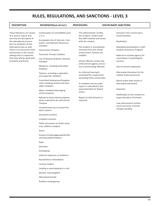# **RULES, REGULATIONS, AND SANCTIONS - LEVEL 3**

| <b>DESCRIPTION</b>                                                                                                                                                                                       | INCIDENCES(not all incl.)                                                                                                                                                                                                                                                                                                                                                                                                                                                                                                                                                                                                                                                                                                                                                 | <b>PROCEDURES</b>                                                                                                                                                                                                                                                                                                                                                                                                              | <b>DISCIPLINARY SANCTIONS</b>                                                                                                                                                                                                                                                                                                                                                                                                                        |
|----------------------------------------------------------------------------------------------------------------------------------------------------------------------------------------------------------|---------------------------------------------------------------------------------------------------------------------------------------------------------------------------------------------------------------------------------------------------------------------------------------------------------------------------------------------------------------------------------------------------------------------------------------------------------------------------------------------------------------------------------------------------------------------------------------------------------------------------------------------------------------------------------------------------------------------------------------------------------------------------|--------------------------------------------------------------------------------------------------------------------------------------------------------------------------------------------------------------------------------------------------------------------------------------------------------------------------------------------------------------------------------------------------------------------------------|------------------------------------------------------------------------------------------------------------------------------------------------------------------------------------------------------------------------------------------------------------------------------------------------------------------------------------------------------------------------------------------------------------------------------------------------------|
| These behaviors are clearly<br>of a serious nature and<br>not only are disruptive of<br>the educational process                                                                                          | Continuation of unmodified Level<br>1 or 2<br>Acceptable Use of Internet, Com-                                                                                                                                                                                                                                                                                                                                                                                                                                                                                                                                                                                                                                                                                            | The administrator verifies<br>the incident, confers with<br>the staff involved and meets<br>with the student.                                                                                                                                                                                                                                                                                                                  | Exclusion from school-spon-<br>sored activities<br>Restitution                                                                                                                                                                                                                                                                                                                                                                                       |
| but are violations of the<br>state penal laws as well.<br>There is no excuse for their<br>commission in the school<br>setting and it is expected<br>that they will be dealt with<br>promptly and firmly. | puters, and Network Resources<br>Violation<br><b>Harassment Violation</b><br><b>Terroristic Threats Violation</b><br>Use of Bicycles & Motor Vehicles<br>Violation<br>Weapons, including look-alikes<br>Violation<br>Tobacco, including e-cigarettes<br>and vaporizer Violation<br>Controlled Substances/Parapher-<br>nalia including alcohol and look-<br>alikes Violation<br>Major vandalism/Damaging<br>school property<br>Refusal to leave school property<br>when ordered to do so/Criminal<br>Trespass<br>Unauthorized use of school fire<br>alarm system<br>Disorderly conduct<br>Unlawful restraint<br>Theft, possession of stolen prop-<br>erty, robbery, burglary<br>Arson<br>Assault (simple/aggravated/inde-<br>cent/sexual) and battery<br>Rape<br>Extortion | The student is immediately<br>removed from the school<br>environment. Parents are<br>notified.<br>School officials contact law<br>enforcement agency and as-<br>sist in prosecuting offender.<br>An informal hearing is<br>scheduled for suspensions<br>exceeding three school days.<br>A complete and accurate<br>report is submitted to the<br>superintendent for Board<br>action.<br>Report to Safe Schools as<br>required. | Mandated participation is SAP-<br>Student Assistance Program<br>Referral to outside agency for<br>counseling or psychological<br>services<br>Out-of-school suspension<br>Alternative Education for Dis-<br>ruptive Youth placement<br>Board action that results in<br>alternative placement<br>Expulsion<br>Notification of the incident to<br>Superintendent of Schools<br>Law enforcement involve-<br>ment-civil an/or criminal<br>charges pending |
|                                                                                                                                                                                                          | Kidnapping<br>Indecent exposure or lewdness<br>Racial/Ethnic intimidation<br>Larceny, forgery<br>Leading or participating in a riot<br>Murder, manslaughter<br><b>Attempted Suicide</b><br>Reckless endangering                                                                                                                                                                                                                                                                                                                                                                                                                                                                                                                                                           |                                                                                                                                                                                                                                                                                                                                                                                                                                |                                                                                                                                                                                                                                                                                                                                                                                                                                                      |